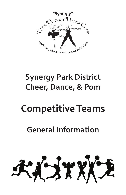

# **Synergy Park District Cheer, Dance, & Pom**

# **Competitive Teams**

## **General Information**

KITKKE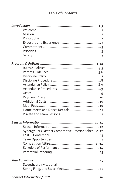#### **Table of Contents**

| Home Meets and Dance Recitals 11                        |  |
|---------------------------------------------------------|--|
|                                                         |  |
|                                                         |  |
|                                                         |  |
| Synergy Park District Competitive Practice Schedule. 12 |  |
|                                                         |  |
|                                                         |  |
|                                                         |  |
|                                                         |  |
|                                                         |  |
|                                                         |  |
| Sweetheart Invitational                                 |  |
|                                                         |  |
|                                                         |  |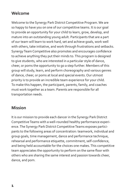#### **Welcome**

Welcome to the Synergy Park District Competitive Program. We are so happy to have you on one of our competitive teams. It is our goal to provide an opportunity for your child to learn, grow, develop, and mature into an outstanding young adult. Participants that are a part of our team will learn to work hard, set and achieve goals, work well with others, take initiative, and work through frustrations and setbacks. Synergy Team Competitive also promotes and encourages confidence to achieve anything they put their minds to. This program is designed to give students, who are interested in a particular style of dance, cheer, or poms the opportunity to go a step further. Members of this group will study, learn, and perform choreography and various genres of dance, cheer, or poms at local and special events. Our utmost priority is to provide an incredible team experience for your child. To make this happen, the participant, parents, family, and coaches must work together as a team. Parents are responsible for all transportation needs.

#### **Mission**

It is our mission to provide each dancer in the Synergy Park District Competitive Teams with a well-rounded healthy performance experience. The Synergy Park District Competitive Teams exposes participants to the following areas of concentration: teamwork, individual and group goals, time management, dance and performance technique, rehearsal and performance etiquette, commitment, self-confidence, and being held accountable for the choices one makes. This competitive team appreciates the opportunity to perform on the same floor with others who are sharing the same interest and passion towards cheer, dance, and pom.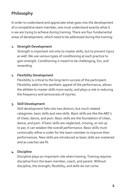### **Philosophy**

In order to understand and appreciate what goes into the development of a competitive team member, one must understand exactly what it is we are trying to achieve during training. There are four fundamental areas of development, which need to be addressed during the training:

#### **1. Strength Development**

 Strength is important not only to master skills, but to prevent injury as well. We use various types of conditioning at each practice to gain strength. Conditioning is meant to be challenging, fun, and rewarding.

#### **2. Flexibility Development**

 Flexibility is critical to the long-term success of the participant. Flexibility adds to the aesthetic appeal of the performance, allows the athlete to master skills more easily, and plays a role in reducing the frequency and seriousness of injuries.

#### **3. Skill Development**

 Skill development falls into two distinct, but much related categories: basic skills and new skills. Basic skills are like the ABC's of cheer, dance, and pom. Basic skills are the foundation of cheer, dance, and pom. If basic skills are neglected, missing, or not up to par, it can weaken the overall performance. Basic skills must continually refine in order for the team member to improve their performances. New skills are introduced as basic skills are mastered and as coaches see fit.

#### **4. Discipline**

 Discipline plays an important role when training. Training requires discipline from the team member, coach, and parent. Without discipline, the strength, flexibility, and skills do not come.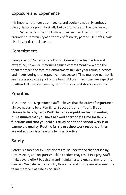#### **Exposure and Experience**

It is important for our youth, teens, and adults to not only embody cheer, dance, or pom physically but to promote and live it as an art form. Synergy Park District Competitive Team will perform within and around the community at a variety of festivals, parades, benefits, park districts, and school events.

#### **Commitment**

Being a part of Synergy Park District Competitive Team is fun and rewarding; however, it requires a huge commitment from both the team member and family. Commitment includes year-round practices and meets during the respective meet season. Time management skills are necessary to be a part of the team. All team members are expected to attend all practices, meets, performances, and showcase events.

#### **Priorities**

The Recreation Department staff believes that the order of importance always needs to be 1- Family, 2- Education, and 3- Team. **If you choose to be a Synergy Park District Competitive Team member, it is assumed that you have allowed appropriate time for family functions and that your child's study habits and school work is of exemplary quality. Routine family or schoolwork responsibilities are not appropriate reasons to miss practice.**

### **Safety**

Safety is a top priority. Participants must understand that horseplay, carelessness, and unsportsmanlike conduct may result in injury. Staff makes every effort to achieve and maintain a safe environment for the dancers. We believe in strength, flexibility, and progressions to keep the team members as safe as possible.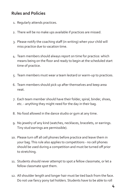#### **Rules and Policies**

- 1. Regularly attends practices.
- 2. There will be no make ups available if practices are missed.
- 3. Please notify the coaching staff (in writing) when your child will miss practice due to vacation time.
- 4. Team members should always report on time for practice: which means being on the floor and ready to begin at the scheduled start time of practice.
- 5. Team members must wear a team leotard or warm-up to practices.
- 6. Team members should pick up after themselves and keep area neat.
- 7. Each team member should have their folder, spiral, binder, shoes, etc. - anything they might need for the day in their bag.
- 8. No food allowed in the dance studio or gym at any time.
- 9. No jewelry of any kind (watches, necklaces, bracelets, or earrings. Tiny stud earrings are permissible).
- 10. Please turn off all cell phones before practice and leave them in your bag. This rule also applies to competitions - no cell phones should be used during a competition and must be turned off prior to stretching.
- 11. Students should never attempt to spot a fellow classmate, or let a fellow classmate spot them.
- 12. All shoulder length and longer hair must be tied back from the face. Do not use fancy pony tail holders. Students have to be able to roll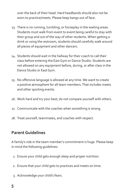over the back of their head. Hard headbands should also not be worn to practice/meets. Please keep bangs out of face.

- 13. There is no running, tumbling, or horseplay in the waiting areas. Students must walk from event to event being careful to stay with their group and out of the way of other students. When getting a drink or using the restroom, students should carefully walk around all pieces of equipment and other dancers.
- 14. Students should wait in the hallway for their coach to call their class before entering the East Gym or Dance Studio. Students are not allowed on any equipment before, during, or after class in the Dance Studio or East Gym.
- 15. No offensive language is allowed at any time. We want to create a positive atmosphere for all team members. That includes meets and other sporting events.
- 16. Work hard and try your best; do not compare yourself with others.
- 17. Communicate with the coaches when something is wrong.
- 18. Treat yourself, teammates, and coaches with respect.

#### **Parent Guidelines**

A family's role in the team member's commitment is huge. Please keep in mind the following guidelines:

- 1. Ensure your child gets enough sleep and proper nutrition.
- 2. Ensure that your child gets to practices and meets on time.
- 3. Acknowledge your child's fears.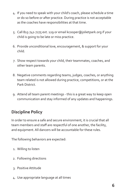- 4. If you need to speak with your child's coach, please schedule a time or do so before or after practice. During practice is not acceptable as the coaches have responsibilities at that time.
- 5. Call 815-741-7275 ext. 129 or email kcooper@jolietpark.org if your child is going to be late or miss practice.
- 6. Provide unconditional love, encouragement, & support for your child.
- 7. Show respect towards your child, their teammates, coaches, and other team parents.
- 8. Negative comments regarding teams, judges, coaches, or anything team related is not allowed during practice, competitions, or at the Park District.
- 9. Attend all team parent meetings this is a great way to keep open communication and stay informed of any updates and happenings.

### **Discipline Policy**

In order to ensure a safe and secure environment, it is crucial that all team members and staff are respectful of one another, the facility, and equipment. All dancers will be accountable for these rules.

The following behaviors are expected:

- 1. Willing to listen
- 2. Following directions
- 3. Positive Attitude
- 4. Use appropriate language at all times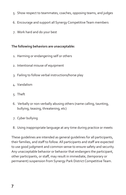- 5. Show respect to teammates, coaches, opposing teams, and judges
- 6. Encourage and support all Synergy Competitive Team members
- 7. Work hard and do your best

#### **The following behaviors are unacceptable:**

- 1. Harming or endangering self or others
- 2. Intentional misuse of equipment
- 3. Failing to follow verbal instructions/horse play
- 4. Vandalism
- 5. Theft
- 6. Verbally or non-verbally abusing others (name calling, taunting, bullying, teasing, threatening, etc)
- 7. Cyber bullying
- 8. Using inappropriate language at any time during practice or meets

These guidelines are intended as general guidelines for all participants, their families, and staff to follow. All participants and staff are expected to use good judgment and common sense to ensure safety and security. Any unacceptable behavior or behavior that endangers the participant, other participants, or staff, may result in immediate, (temporary or permanent) suspension from Synergy Park District Competitive Team.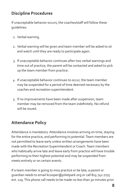#### **Discipline Procedures**

If unacceptable behavior occurs, the coaches/staff will follow these guidelines:

- 1. Verbal warning.
- 2. Verbal warning will be given and team member will be asked to sit and watch until they are ready to participate again.
- 3. If unacceptable behavior continues after two verbal warnings and time out of practice, the parent will be contacted and asked to pick up the team member from practice.
- 4. If unacceptable behavior continues to occur, the team member may be suspended for a period of time deemed necessary by the coaches and recreation superintendent.
- 5. If no improvements have been made after suspension, team member may be removed from the team indefinitely. No refund will be issued.

#### **Attendance Policy**

Attendance is mandatory. Attendance involves arriving on time, staying for the entire practice, and performing to potential. Team members are not permitted to leave early unless written arrangements have been made with the Recreation Superintendent or Coach. Team members who habitually arrive late and leave early from practice will have trouble performing to their highest potential and may be suspended from meets entirely or on certain events.

If a team member is going to miss practice or be late, a parent or guardian needs to email kcooper@jolietpark.org or call 815-741-7275 ext. 129. This phone call needs to be made no less than 30 minutes prior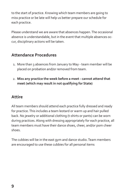to the start of practice. Knowing which team members are going to miss practice or be late will help us better prepare our schedule for each practice.

Please understand we are aware that absences happen. The occasional absence is understandable, but in the event that multiple absences occur, disciplinary actions will be taken.

#### **Attendance Procedures**

- 1. More than 3 absences from January to May team member will be placed on probation and/or removed from team.
- 2. **Miss any practice the week before a meet cannot attend that meet (which may result in not qualifying for State)**

#### **Attire**

All team members should attend each practice fully dressed and ready for practice. This includes a team leotard or warm up and hair pulled back. No jewelry or additional clothing (t-shirts or pants) can be worn during practices. Along with dressing appropriately for each practice, all team members must have their dance shoes, cheer, and/or pom cheer shoes.

The cubbies will be in the east gym and dance studio. Team members are encouraged to use these cubbies for all personal items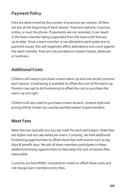#### **Payment Policy**

Fees are determined by the number of practices per session. All fees are due at the beginning of each session. Payment options: in person, online, or over the phone. If payments are not received, it can result in the team member being suspended from the team until fees are up to date. Since a team member is not allowed to participate due to payment issues, this will negatively affect attendance and count against the team member. Fees are not prorated on missed classes, absences or tardiness.

#### **Additional Costs**

Children will need to purchase a team warm-up and one recital costume each session. Fundraising is available to offset the cost of the warm-up. Parents may opt to do fundraising to offset the cost or purchase the warm-up out right.

Children will also need to purchase a team leotard. Leotard style and pricing will be chosen by coaches and Recreation Superintendent.

#### **Meet Fees**

Meet fees are typically \$10-\$15 per meet for each participant. State fees are higher and are calculated per event. Currently, we hold additional fundraising opportunities to offset these fees with events such as tag days & benefit days. We ask all team members participate in these added fundraising opportunities to help keep the cost of session fees reasonable.

Currently we host IPDDC competition meets to offset these costs and not charge team members entry fees.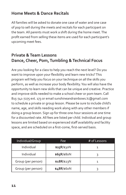#### **Home Meets & Dance Recitals**

All families will be asked to donate one case of water and one case of pop to sell during the meets and recitals for each participant on the team. All parents must work a shift during the home meet. The profit earned from selling these items are used for each participant's upcoming meet fees.

#### **Private & Team Lessons Dance, Cheer, Pom, Tumbling & Technical Focus**

Are you looking for a class to help you reach the next level? Do you want to improve upon your flexibility and learn new tricks? This program will help you focus on your technique on all the skills you perform, as well as increase your body flexibility. You will also have the opportunity to learn new skills that can be unique and creative. Practice and improve skills needed to make a school cheer or pom team. Call 815-741-7275 ext. 173 or email sunshineandrainbows.lc@gmail.com to schedule a private or group lesson. Please be sure to include child's name, age, and skills needing work along with any other members if doing a group lesson. Sign up for three one-hour sessions at one time for a discounted rate. All fees are listed per child. Individual and group lessons are limited based on experienced staff availability and facility space, and are scheduled on a first-come, first-served basis.

| Individual/Group   | Fee                | # of Lessons |  |
|--------------------|--------------------|--------------|--|
| Individual         | \$25 $R$ /\$30 $N$ |              |  |
| Individual         | \$65R/\$80N        |              |  |
| Group (per person) | $$18R$ /\$23N      |              |  |
| Group (per person) | \$48R/\$60N        |              |  |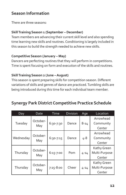#### **Season Information**

There are three seasons:

#### **Skill Training Season 1 (September – December)**

Team members are advancing their current skill level and also spending time learning new skills and routines. Conditioning is largely included in this season to build the strength needed to achieve new skills.

#### **Competitive Season (January – May)**

Dancers are perfecting routines that they will perform in competitions. Time is spent focusing on form and execution of the skills and routines.

#### **Skill Training Season 2 (June – August)**

This season is spent preparing skills for competition season. Different variations of skills and genres of dance are practiced. Tumbling skills are being introduced during this time for each individual team member.

#### **Synergy Park District Competitive Practice Schedule**

| Day       | Date            | Time          | <b>Division</b> | Age      | Location      |
|-----------|-----------------|---------------|-----------------|----------|---------------|
| Tuesday   | October-<br>May | 6:30-7:30     | Dance           | $8 - 14$ | Arrowhead     |
|           |                 |               |                 |          | Community     |
|           |                 |               |                 |          | Center        |
| Wednesday | October-<br>May | 6:30-7:15     | Dance           | 4-8      | Arrowhead     |
|           |                 |               |                 |          | Community     |
|           |                 |               |                 |          | Center        |
| Thursday  | October-<br>May | $6:15 - 7:00$ | Pom             | $4 - 14$ | Kathy Green   |
|           |                 |               |                 |          | Multi-Purpose |
|           |                 |               |                 |          | Center        |
| Thursday  | October-<br>May | $7:15 - 8:00$ | Cheer           | $4 - 14$ | Kathy Green   |
|           |                 |               |                 |          | Multi-Purpose |
|           |                 |               |                 |          | Center        |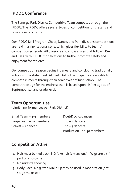#### **IPDDC Conference**

The Synergy Park District Competitive Team competes through the IPDDC. The IPDDC offers several types of competition for the girls and boys in our programs.

Our IPDDC Drill Program Cheer, Dance, and Pom divisions competitions are held in an invitational style, which gives flexibility to teams' competition schedule. All divisions encompass rules that follow IHSA and IDTA with IPDDC modifications to further promote safety and enjoyment for athletes.

Our competition season begins in January and concluding traditionally in April with a state meet. All Park District participants are eligible to compete in meets through their senior year of high school. The competition age for the entire season is based upon his/her age as of September 1st and grade level.

#### **Team Opportunities**

(Limit 5 performances per Park District)

| Small Team $-$ 3-9 members | Duet/Duo -2 dancers        |
|----------------------------|----------------------------|
| Large Team - 10 members    | Trio $-$ 3 dancers         |
| Soloist - 1 dancer         | Trio $-$ 3 dancers         |
|                            | Production - 10-30 members |

#### **Competition Attire**

- 1. Hair must be tied back. NO fake hair (extensions) Wigs are ok if part of a costume.
- 2. No midriffs showing
- 3. Body/Face: No glitter. Make-up may be used in moderation (not stage make-up).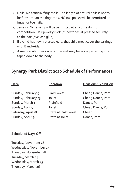- 4. Nails: No artificial fingernails. The length of natural nails is not to be further than the fingertips. NO nail polish will be permitted on finger or toe nails.
- 5. Jewelry: No jewelry will be permitted at any time during competition. Hair jewelry is ok (rhinestones) if pressed securely to the hair (eye lash glue).
- 6. If a child has newly pierced ears, that child must cover the earrings with Band-Aids.
- 7. A medical alert necklace or bracelet may be worn, providing it is taped down to the body.

#### **Synergy Park District 2020 Schedule of Performances**

Sunday, February 9 Oak Forest Cheer, Dance, Pom Sunday, February 23 Joliet Cheer, Dance, Pom Sunday, March 1 Plainfield Dance, Pom Sunday, April 5 Joliet Cheer, Dance, Pom Saturday, April 18 State at Oak Forest Cheer Sunday, April 19 State at Joliet Dance, Pom

**Date Location Divisions/Exhibition**

#### **Scheduled Days Off**

Tuesday, November 26 Wednesday, November 27 Thursday, November 28 Tuesday, March 24 Wednesday, March 25 Thursday, March 26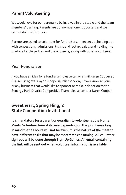#### **Parent Volunteering**

We would love for our parents to be involved in the studio and the team members' training. Parents are our number one supporters and we cannot do it without you.

Parents are asked to volunteer for fundraisers, meet set up, helping out with concessions, admissions, t-shirt and leotard sales, and holding the markers for the judges and the audience, along with other volunteers.

#### **Year Fundraiser**

If you have an idea for a fundraiser; please call or email Karen Cooper at 815-741-7275 ext. 129 or kcooper@jolietpark.org. If you know anyone or any business that would like to sponsor or make a donation to the Synergy Park District Competitive Team, please contact Karen Cooper.

#### **Sweetheart, Spring Fling, & State Competition Invitational**

**It is mandatory for a parent or guardian to volunteer at the Home Meets. Volunteer time slots vary depending on the job. Please keep in mind that all hours will not be even. It is the nature of the meet to have different tasks that may be more time consuming. All volunteer sign-ups will be done through Sign-Up Genius. An email containing the link will be sent out when volunteer information is available.**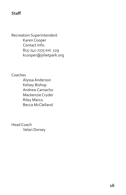#### **Staff**

Recreation Superintendent Karen Cooper Contact Info: 815-741-7275 ext. 129 kcooper@jolietpark.org

Coaches

Alyssa Anderson Kelsey Bishop Andrew Camacho Mackenzie Cryder Riley Marco Becca McClelland

Head Coach Velari Dorsey